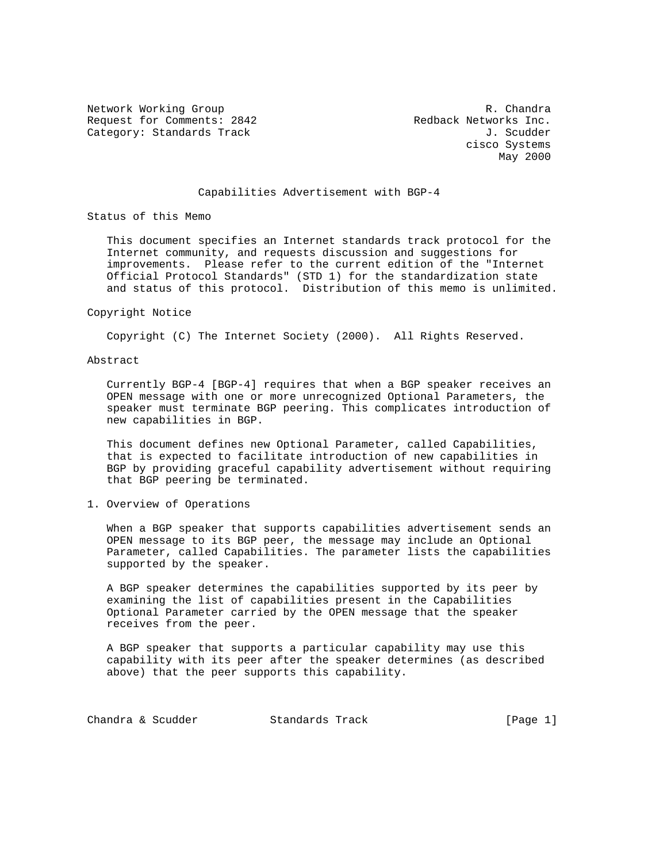Network Working Group and the set of the set of the set of the R. Chandra Request for Comments: 2842 Redback Networks Inc. Category: Standards Track Gategory: Standards Track J. Scudder

 cisco Systems May 2000

# Capabilities Advertisement with BGP-4

Status of this Memo

 This document specifies an Internet standards track protocol for the Internet community, and requests discussion and suggestions for improvements. Please refer to the current edition of the "Internet Official Protocol Standards" (STD 1) for the standardization state and status of this protocol. Distribution of this memo is unlimited.

#### Copyright Notice

Copyright (C) The Internet Society (2000). All Rights Reserved.

## Abstract

 Currently BGP-4 [BGP-4] requires that when a BGP speaker receives an OPEN message with one or more unrecognized Optional Parameters, the speaker must terminate BGP peering. This complicates introduction of new capabilities in BGP.

 This document defines new Optional Parameter, called Capabilities, that is expected to facilitate introduction of new capabilities in BGP by providing graceful capability advertisement without requiring that BGP peering be terminated.

# 1. Overview of Operations

 When a BGP speaker that supports capabilities advertisement sends an OPEN message to its BGP peer, the message may include an Optional Parameter, called Capabilities. The parameter lists the capabilities supported by the speaker.

 A BGP speaker determines the capabilities supported by its peer by examining the list of capabilities present in the Capabilities Optional Parameter carried by the OPEN message that the speaker receives from the peer.

 A BGP speaker that supports a particular capability may use this capability with its peer after the speaker determines (as described above) that the peer supports this capability.

| [Page 1]<br>Chandra & Scudder<br>Standards Track |  |  |
|--------------------------------------------------|--|--|
|--------------------------------------------------|--|--|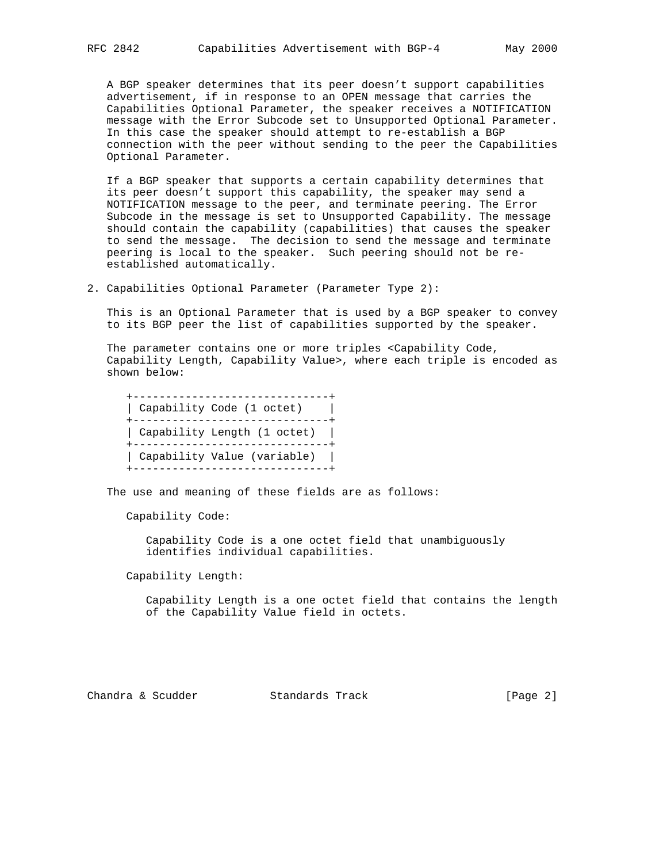A BGP speaker determines that its peer doesn't support capabilities advertisement, if in response to an OPEN message that carries the Capabilities Optional Parameter, the speaker receives a NOTIFICATION message with the Error Subcode set to Unsupported Optional Parameter. In this case the speaker should attempt to re-establish a BGP connection with the peer without sending to the peer the Capabilities Optional Parameter.

 If a BGP speaker that supports a certain capability determines that its peer doesn't support this capability, the speaker may send a NOTIFICATION message to the peer, and terminate peering. The Error Subcode in the message is set to Unsupported Capability. The message should contain the capability (capabilities) that causes the speaker to send the message. The decision to send the message and terminate peering is local to the speaker. Such peering should not be re established automatically.

2. Capabilities Optional Parameter (Parameter Type 2):

 This is an Optional Parameter that is used by a BGP speaker to convey to its BGP peer the list of capabilities supported by the speaker.

 The parameter contains one or more triples <Capability Code, Capability Length, Capability Value>, where each triple is encoded as shown below:

```
 +------------------------------+
| Capability Code (1 octet) |
+------------------------------+
| Capability Length (1 octet) |
+------------------------------+
| Capability Value (variable) |
+------------------------------+
```
The use and meaning of these fields are as follows:

Capability Code:

 Capability Code is a one octet field that unambiguously identifies individual capabilities.

Capability Length:

 Capability Length is a one octet field that contains the length of the Capability Value field in octets.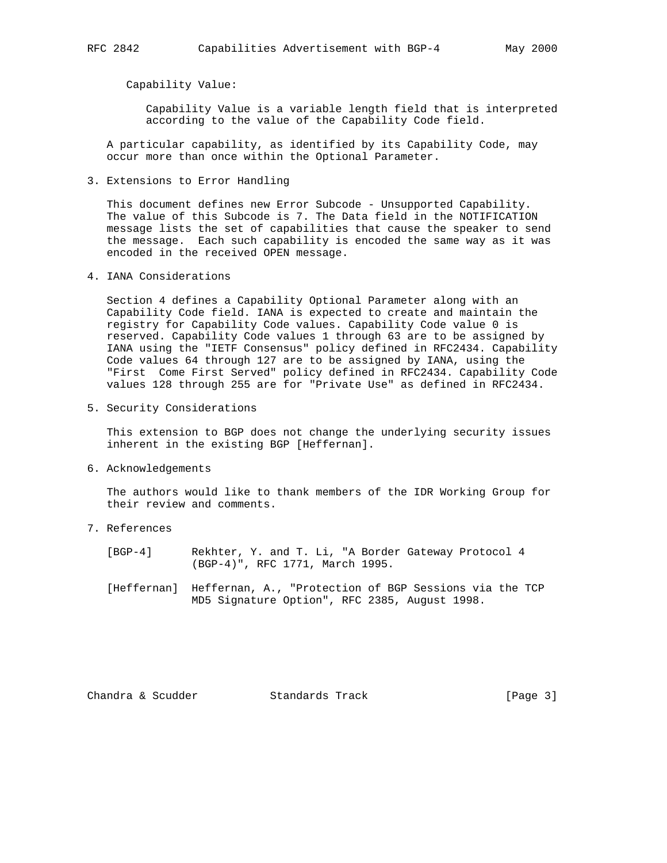Capability Value:

 Capability Value is a variable length field that is interpreted according to the value of the Capability Code field.

 A particular capability, as identified by its Capability Code, may occur more than once within the Optional Parameter.

3. Extensions to Error Handling

 This document defines new Error Subcode - Unsupported Capability. The value of this Subcode is 7. The Data field in the NOTIFICATION message lists the set of capabilities that cause the speaker to send the message. Each such capability is encoded the same way as it was encoded in the received OPEN message.

4. IANA Considerations

 Section 4 defines a Capability Optional Parameter along with an Capability Code field. IANA is expected to create and maintain the registry for Capability Code values. Capability Code value 0 is reserved. Capability Code values 1 through 63 are to be assigned by IANA using the "IETF Consensus" policy defined in RFC2434. Capability Code values 64 through 127 are to be assigned by IANA, using the "First Come First Served" policy defined in RFC2434. Capability Code values 128 through 255 are for "Private Use" as defined in RFC2434.

5. Security Considerations

 This extension to BGP does not change the underlying security issues inherent in the existing BGP [Heffernan].

6. Acknowledgements

 The authors would like to thank members of the IDR Working Group for their review and comments.

7. References

 [BGP-4] Rekhter, Y. and T. Li, "A Border Gateway Protocol 4 (BGP-4)", RFC 1771, March 1995.

 [Heffernan] Heffernan, A., "Protection of BGP Sessions via the TCP MD5 Signature Option", RFC 2385, August 1998.

Chandra & Scudder Standards Track [Page 3]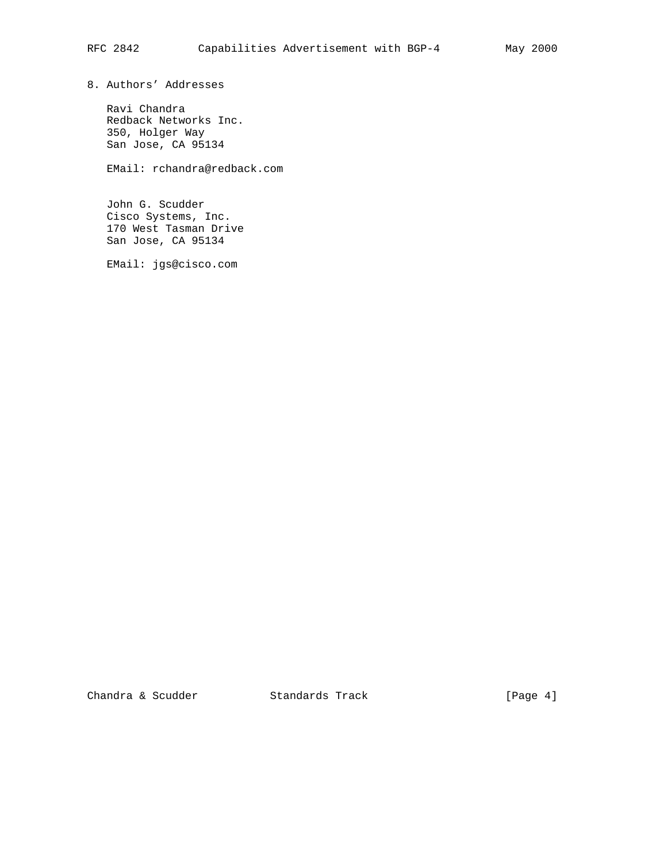8. Authors' Addresses

 Ravi Chandra Redback Networks Inc. 350, Holger Way San Jose, CA 95134

EMail: rchandra@redback.com

 John G. Scudder Cisco Systems, Inc. 170 West Tasman Drive San Jose, CA 95134

EMail: jgs@cisco.com

Chandra & Scudder Standards Track [Page 4]